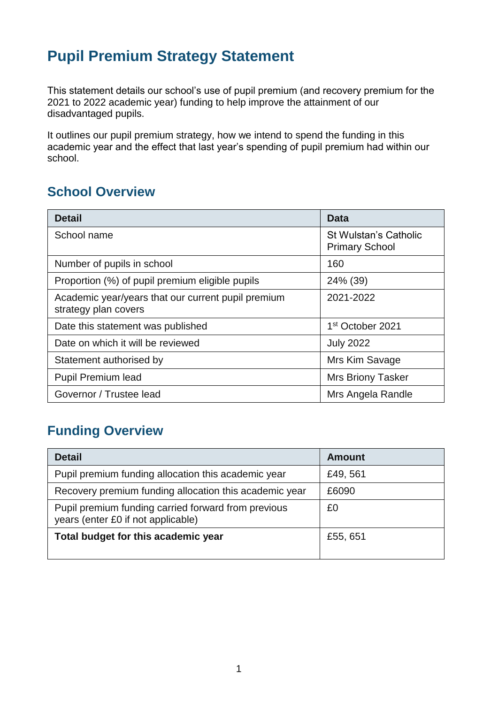# **Pupil Premium Strategy Statement**

This statement details our school's use of pupil premium (and recovery premium for the 2021 to 2022 academic year) funding to help improve the attainment of our disadvantaged pupils.

It outlines our pupil premium strategy, how we intend to spend the funding in this academic year and the effect that last year's spending of pupil premium had within our school.

### **School Overview**

| <b>Detail</b>                                                              | Data                                                  |
|----------------------------------------------------------------------------|-------------------------------------------------------|
| School name                                                                | <b>St Wulstan's Catholic</b><br><b>Primary School</b> |
| Number of pupils in school                                                 | 160                                                   |
| Proportion (%) of pupil premium eligible pupils                            | 24% (39)                                              |
| Academic year/years that our current pupil premium<br>strategy plan covers | 2021-2022                                             |
| Date this statement was published                                          | 1 <sup>st</sup> October 2021                          |
| Date on which it will be reviewed                                          | <b>July 2022</b>                                      |
| Statement authorised by                                                    | Mrs Kim Savage                                        |
| <b>Pupil Premium lead</b>                                                  | <b>Mrs Briony Tasker</b>                              |
| Governor / Trustee lead                                                    | Mrs Angela Randle                                     |

## **Funding Overview**

| <b>Detail</b>                                                                             | <b>Amount</b> |
|-------------------------------------------------------------------------------------------|---------------|
| Pupil premium funding allocation this academic year                                       | £49, 561      |
| Recovery premium funding allocation this academic year                                    | £6090         |
| Pupil premium funding carried forward from previous<br>years (enter £0 if not applicable) | £0            |
| Total budget for this academic year                                                       | £55, 651      |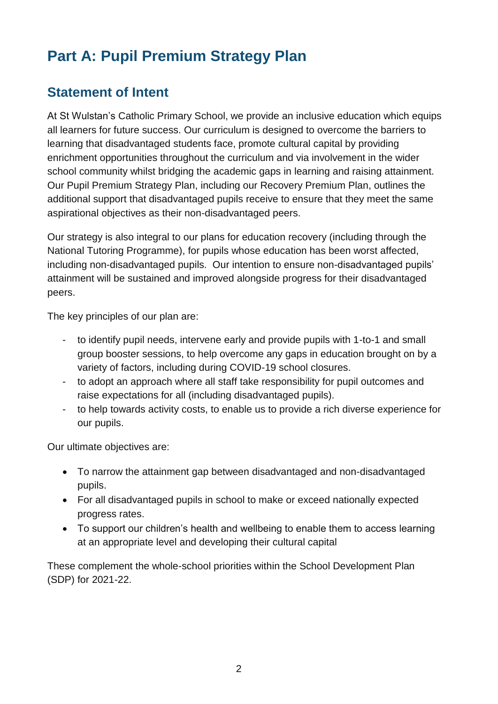# **Part A: Pupil Premium Strategy Plan**

### **Statement of Intent**

At St Wulstan's Catholic Primary School, we provide an inclusive education which equips all learners for future success. Our curriculum is designed to overcome the barriers to learning that disadvantaged students face, promote cultural capital by providing enrichment opportunities throughout the curriculum and via involvement in the wider school community whilst bridging the academic gaps in learning and raising attainment. Our Pupil Premium Strategy Plan, including our Recovery Premium Plan, outlines the additional support that disadvantaged pupils receive to ensure that they meet the same aspirational objectives as their non-disadvantaged peers.

Our strategy is also integral to our plans for education recovery (including through the National Tutoring Programme), for pupils whose education has been worst affected, including non-disadvantaged pupils. Our intention to ensure non-disadvantaged pupils' attainment will be sustained and improved alongside progress for their disadvantaged peers.

The key principles of our plan are:

- to identify pupil needs, intervene early and provide pupils with 1-to-1 and small group booster sessions, to help overcome any gaps in education brought on by a variety of factors, including during COVID-19 school closures.
- to adopt an approach where all staff take responsibility for pupil outcomes and raise expectations for all (including disadvantaged pupils).
- to help towards activity costs, to enable us to provide a rich diverse experience for our pupils.

Our ultimate objectives are:

- To narrow the attainment gap between disadvantaged and non-disadvantaged pupils.
- For all disadvantaged pupils in school to make or exceed nationally expected progress rates.
- To support our children's health and wellbeing to enable them to access learning at an appropriate level and developing their cultural capital

These complement the whole-school priorities within the School Development Plan (SDP) for 2021-22.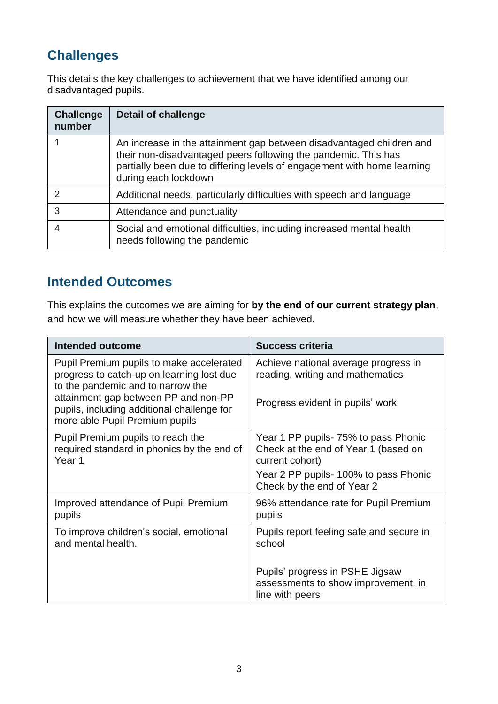# **Challenges**

This details the key challenges to achievement that we have identified among our disadvantaged pupils.

| <b>Challenge</b><br>number | <b>Detail of challenge</b>                                                                                                                                                                                                                |
|----------------------------|-------------------------------------------------------------------------------------------------------------------------------------------------------------------------------------------------------------------------------------------|
|                            | An increase in the attainment gap between disadvantaged children and<br>their non-disadvantaged peers following the pandemic. This has<br>partially been due to differing levels of engagement with home learning<br>during each lockdown |
|                            | Additional needs, particularly difficulties with speech and language                                                                                                                                                                      |
| 3                          | Attendance and punctuality                                                                                                                                                                                                                |
|                            | Social and emotional difficulties, including increased mental health<br>needs following the pandemic                                                                                                                                      |

### **Intended Outcomes**

This explains the outcomes we are aiming for **by the end of our current strategy plan**, and how we will measure whether they have been achieved.

| <b>Intended outcome</b>                                                                                                                                                                                                                            | <b>Success criteria</b>                                                                                                                                                 |
|----------------------------------------------------------------------------------------------------------------------------------------------------------------------------------------------------------------------------------------------------|-------------------------------------------------------------------------------------------------------------------------------------------------------------------------|
| Pupil Premium pupils to make accelerated<br>progress to catch-up on learning lost due<br>to the pandemic and to narrow the<br>attainment gap between PP and non-PP<br>pupils, including additional challenge for<br>more able Pupil Premium pupils | Achieve national average progress in<br>reading, writing and mathematics<br>Progress evident in pupils' work                                                            |
| Pupil Premium pupils to reach the<br>required standard in phonics by the end of<br>Year <sub>1</sub>                                                                                                                                               | Year 1 PP pupils - 75% to pass Phonic<br>Check at the end of Year 1 (based on<br>current cohort)<br>Year 2 PP pupils- 100% to pass Phonic<br>Check by the end of Year 2 |
| Improved attendance of Pupil Premium<br>pupils                                                                                                                                                                                                     | 96% attendance rate for Pupil Premium<br>pupils                                                                                                                         |
| To improve children's social, emotional<br>and mental health.                                                                                                                                                                                      | Pupils report feeling safe and secure in<br>school                                                                                                                      |
|                                                                                                                                                                                                                                                    | Pupils' progress in PSHE Jigsaw<br>assessments to show improvement, in<br>line with peers                                                                               |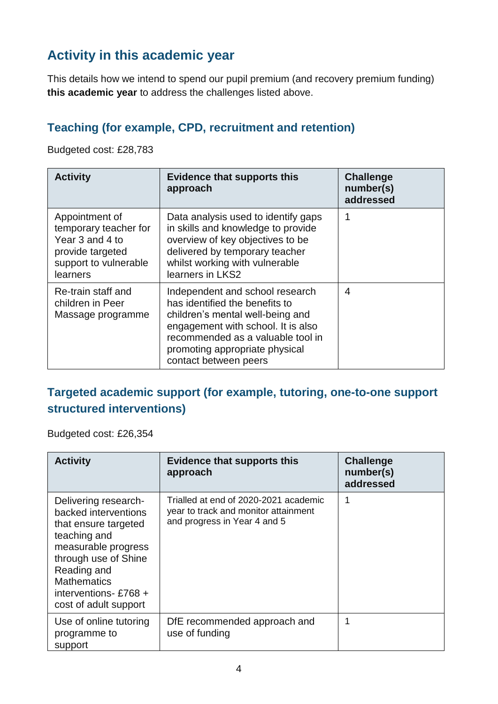# **Activity in this academic year**

This details how we intend to spend our pupil premium (and recovery premium funding) **this academic year** to address the challenges listed above.

### **Teaching (for example, CPD, recruitment and retention)**

Budgeted cost: £28,783

| <b>Activity</b>                                                                                                     | <b>Evidence that supports this</b><br>approach                                                                                                                                                                                              | <b>Challenge</b><br>number(s)<br>addressed |
|---------------------------------------------------------------------------------------------------------------------|---------------------------------------------------------------------------------------------------------------------------------------------------------------------------------------------------------------------------------------------|--------------------------------------------|
| Appointment of<br>temporary teacher for<br>Year 3 and 4 to<br>provide targeted<br>support to vulnerable<br>learners | Data analysis used to identify gaps<br>in skills and knowledge to provide<br>overview of key objectives to be<br>delivered by temporary teacher<br>whilst working with vulnerable<br>learners in LKS2                                       |                                            |
| Re-train staff and<br>children in Peer<br>Massage programme                                                         | Independent and school research<br>has identified the benefits to<br>children's mental well-being and<br>engagement with school. It is also<br>recommended as a valuable tool in<br>promoting appropriate physical<br>contact between peers | 4                                          |

#### **Targeted academic support (for example, tutoring, one-to-one support structured interventions)**

Budgeted cost: £26,354

| <b>Activity</b>                                                                                                                                                                                                           | <b>Evidence that supports this</b><br>approach                                                                | <b>Challenge</b><br>number(s)<br>addressed |
|---------------------------------------------------------------------------------------------------------------------------------------------------------------------------------------------------------------------------|---------------------------------------------------------------------------------------------------------------|--------------------------------------------|
| Delivering research-<br>backed interventions<br>that ensure targeted<br>teaching and<br>measurable progress<br>through use of Shine<br>Reading and<br><b>Mathematics</b><br>interventions-£768 +<br>cost of adult support | Trialled at end of 2020-2021 academic<br>year to track and monitor attainment<br>and progress in Year 4 and 5 | 1                                          |
| Use of online tutoring<br>programme to<br>support                                                                                                                                                                         | DfE recommended approach and<br>use of funding                                                                |                                            |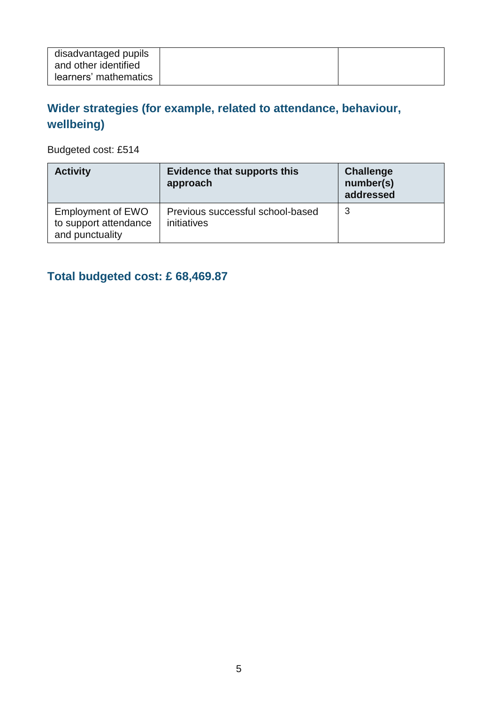| disadvantaged pupils<br>and other identified |  |  |
|----------------------------------------------|--|--|
| learners' mathematics                        |  |  |

## **Wider strategies (for example, related to attendance, behaviour, wellbeing)**

Budgeted cost: £514

| <b>Activity</b>                                                      | <b>Evidence that supports this</b><br>approach  | <b>Challenge</b><br>number(s)<br>addressed |
|----------------------------------------------------------------------|-------------------------------------------------|--------------------------------------------|
| <b>Employment of EWO</b><br>to support attendance<br>and punctuality | Previous successful school-based<br>initiatives | 3                                          |

## **Total budgeted cost: £ 68,469.87**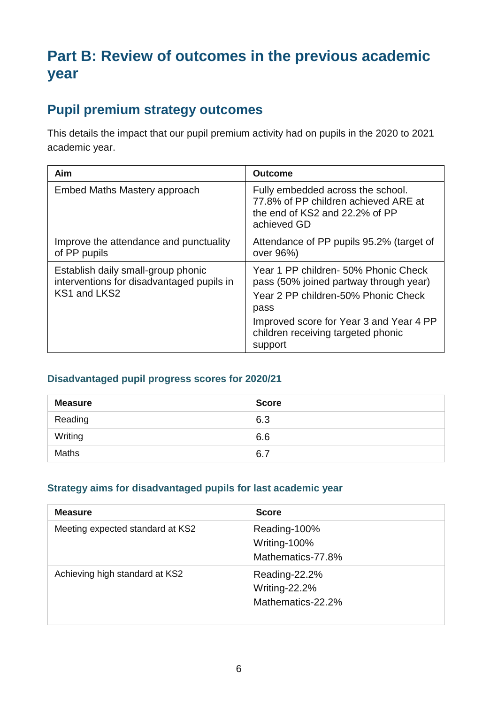# **Part B: Review of outcomes in the previous academic year**

### **Pupil premium strategy outcomes**

This details the impact that our pupil premium activity had on pupils in the 2020 to 2021 academic year.

| Aim                                                                                             | <b>Outcome</b>                                                                                                                                                                                                            |
|-------------------------------------------------------------------------------------------------|---------------------------------------------------------------------------------------------------------------------------------------------------------------------------------------------------------------------------|
| Embed Maths Mastery approach                                                                    | Fully embedded across the school.<br>77.8% of PP children achieved ARE at<br>the end of KS2 and 22.2% of PP<br>achieved GD                                                                                                |
| Improve the attendance and punctuality<br>of PP pupils                                          | Attendance of PP pupils 95.2% (target of<br>over 96%)                                                                                                                                                                     |
| Establish daily small-group phonic<br>interventions for disadvantaged pupils in<br>KS1 and LKS2 | Year 1 PP children- 50% Phonic Check<br>pass (50% joined partway through year)<br>Year 2 PP children-50% Phonic Check<br>pass<br>Improved score for Year 3 and Year 4 PP<br>children receiving targeted phonic<br>support |

#### **Disadvantaged pupil progress scores for 2020/21**

| <b>Measure</b> | <b>Score</b> |
|----------------|--------------|
| Reading        | 6.3          |
| Writing        | 6.6          |
| <b>Maths</b>   | 6.7          |

#### **Strategy aims for disadvantaged pupils for last academic year**

| <b>Measure</b>                   | <b>Score</b>                                        |
|----------------------------------|-----------------------------------------------------|
| Meeting expected standard at KS2 | Reading-100%<br>Writing-100%<br>Mathematics-77.8%   |
| Achieving high standard at KS2   | Reading-22.2%<br>Writing-22.2%<br>Mathematics-22.2% |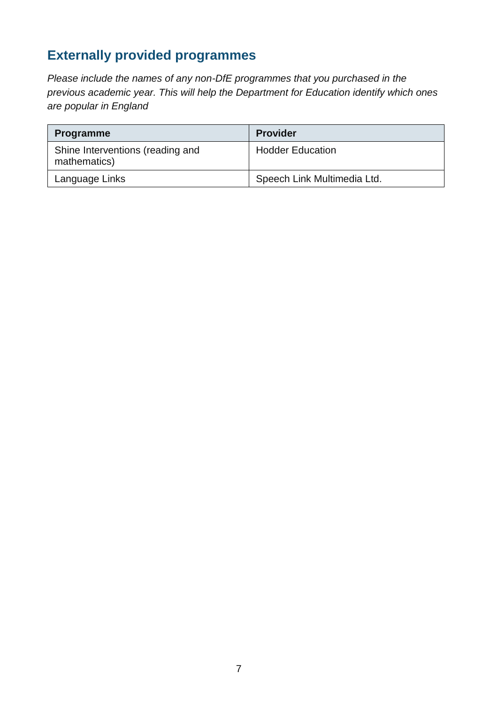# **Externally provided programmes**

*Please include the names of any non-DfE programmes that you purchased in the previous academic year. This will help the Department for Education identify which ones are popular in England*

| <b>Programme</b>                                 | <b>Provider</b>             |
|--------------------------------------------------|-----------------------------|
| Shine Interventions (reading and<br>mathematics) | <b>Hodder Education</b>     |
| Language Links                                   | Speech Link Multimedia Ltd. |